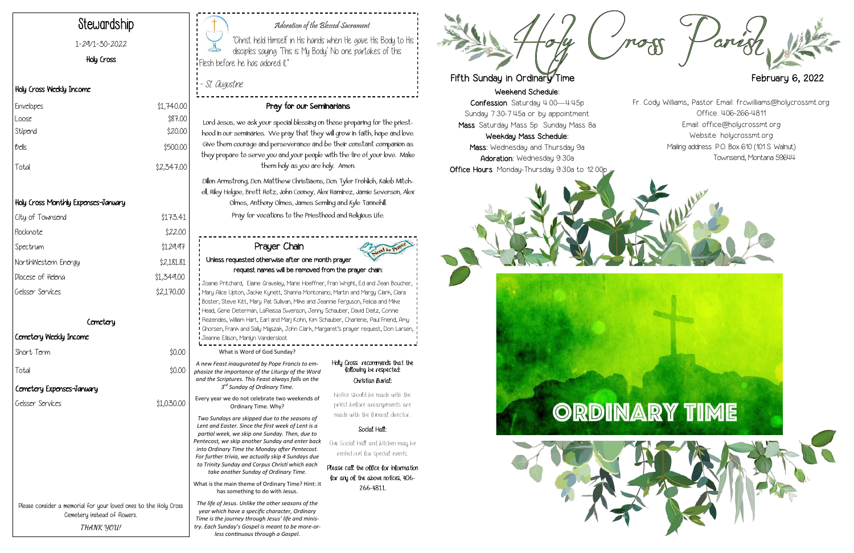Weekend Schedule:

Confession: Saturday 4:00—4:45p Sunday 7:30-7:45a or by appointment Mass: Saturday Mass 5p Sunday Mass 8a

Weekday Mass Schedule: Mass: Wednesday and Thursday 9a Adoration: Wednesday 9:30a Office Hours: Monday-Thursday 9:30a to 12:00p







## Adoration of the Blessed Sacrament

"Christ held Himself in His hands when He gave His Body to His disciples saying: 'This is My Body.' No one partakes of this Flesh before he has adored it."

- St. Augustine

# Stewardship

1-29/1-30-2022

### Holy Cross

### Holy Cross Weekly Income

# Holy Cross Monthly Expenses-January

| City of Townsend    | \$173.41   |
|---------------------|------------|
| Flocknote           | \$22.00    |
| Spectrum            | \$129.97   |
| NorthWestern Energy | \$2,181.81 |
| Diocese of Heleng   | \$1,349.00 |
| Geisser Services    | \$2,170.00 |

## Cemetery

## Cemetery Weekly Income

Short Term \$0.00

Total \$0.00

## Pray for our Seminarians

Lord Jesus, we ask your special blessing on those preparing for the priesthood in our seminaries. We pray that they will grow in faith, hope and love. Give them courage and perseverance and be their constant companion as they prepare to serve you and your people with the fire of your love. Make them holy as you are holy. Amen.

Dillon Armstrong, Dcn. Matthew Christiaens, Dcn. Tyler Frohlich, Kaleb Mitchell, Riley Helgoe, Brett Rotz, John Cooney, Alex Ramirez, Jamie Severson, Alex Olmes, Anthony Olmes, James Semling and Kyle Tannehill. Pray for vocations to the Priesthood and Religious Life.

| Envelopes | \$1,740.00 |
|-----------|------------|
| Loose     | \$87.00    |
| Stipend   | \$20.00    |
| $b$ clls  | \$500.00   |
| Total     | \$2,347.00 |

Please consider a memorial for your loved ones to the Holy Cross Cemetery instead of flowers. **THANK YOU!**

What is Word of God Sunday?

*A new Feast inaugurated by Pope Francis to emphasize the importance of the Liturgy of the Word and the Scriptures. This Feast always falls on the 3 rd Sunday of Ordinary Time.*

Every year we do not celebrate two weekends of Ordinary Time. Why?

*Two Sundays are skipped due to the seasons of Lent and Easter. Since the first week of Lent is a partial week, we skip one Sunday. Then, due to Pentecost, we skip another Sunday and enter back into Ordinary Time the Monday after Pentecost. For further trivia, we actually skip 4 Sundays due to Trinity Sunday and Corpus Christi which each take another Sunday of Ordinary Time.* 

What is the main theme of Ordinary Time? Hint: it has something to do with Jesus.

*The life of Jesus. Unlike the other seasons of the year which have a specific character, Ordinary Time is the journey through Jesus' life and ministry. Each Sunday's Gospel is meant to be more-orless continuous through a Gospel.* 

#### Holy Cross recommends that the following be respected: Christian Burial:

Notice should be made with the priest before arrangements are made with the funeral director.

#### Social Hall:

Our Social Hall and kitchen may be rented out for special events.

Please call the office for information for any of the above notices, 406- 266-4811.



# Fifth Sunday in Ordinary Time **Figure 1.1 State 1.1 Sunday 1.2022**

# Prayer Chain Unless requested otherwise after one month prayer request names will be removed from the prayer chain:

Joanie Pritchard, Elaine Graveley, Marie Hoeffner, Fran Wright, Ed and Jean Boucher, Mary Alice Upton, Jackie Kynett, Shanna Montonario, Martin and Margy Clark, Clara Boster, Steve Kitt, Mary Pat Sullivan, Mike and Jeannie Ferguson, Felicia and Mike Head, Gene Determan, LaReissa Swenson, Jenny Schauber, David Deitz, Connie Rezendes, William Hart, Earl and Marj Kohn, Kim Schauber, Charlene, Paul Friend, Amy Ghorsen, Frank and Sally Majszak, John Clark, Margaret's prayer request, Don Larsen, Jeanne Ellison, Marilyn Vandersloot

Fr. Cody Williams, Pastor Email: frcwilliams@holycrossmt.org Office: 406-266-4811 Email: office@holycrossmt.org Website: holycrossmt.org Mailing address: P.O. Box 610 (101 S. Walnut) Townsend, Montana 59644

# Cemetery Expenses-January

Geisser Services \$1,030.00